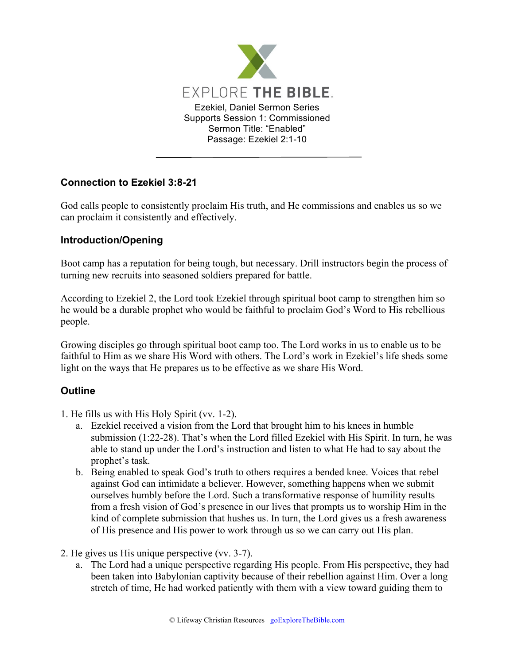

## **Connection to Ezekiel 3:8-21**

God calls people to consistently proclaim His truth, and He commissions and enables us so we can proclaim it consistently and effectively.

## **Introduction/Opening**

Boot camp has a reputation for being tough, but necessary. Drill instructors begin the process of turning new recruits into seasoned soldiers prepared for battle.

According to Ezekiel 2, the Lord took Ezekiel through spiritual boot camp to strengthen him so he would be a durable prophet who would be faithful to proclaim God's Word to His rebellious people.

Growing disciples go through spiritual boot camp too. The Lord works in us to enable us to be faithful to Him as we share His Word with others. The Lord's work in Ezekiel's life sheds some light on the ways that He prepares us to be effective as we share His Word.

## **Outline**

- 1. He fills us with His Holy Spirit (vv. 1-2).
	- a. Ezekiel received a vision from the Lord that brought him to his knees in humble submission (1:22-28). That's when the Lord filled Ezekiel with His Spirit. In turn, he was able to stand up under the Lord's instruction and listen to what He had to say about the prophet's task.
	- b. Being enabled to speak God's truth to others requires a bended knee. Voices that rebel against God can intimidate a believer. However, something happens when we submit ourselves humbly before the Lord. Such a transformative response of humility results from a fresh vision of God's presence in our lives that prompts us to worship Him in the kind of complete submission that hushes us. In turn, the Lord gives us a fresh awareness of His presence and His power to work through us so we can carry out His plan.
- 2. He gives us His unique perspective (vv. 3-7).
	- a. The Lord had a unique perspective regarding His people. From His perspective, they had been taken into Babylonian captivity because of their rebellion against Him. Over a long stretch of time, He had worked patiently with them with a view toward guiding them to